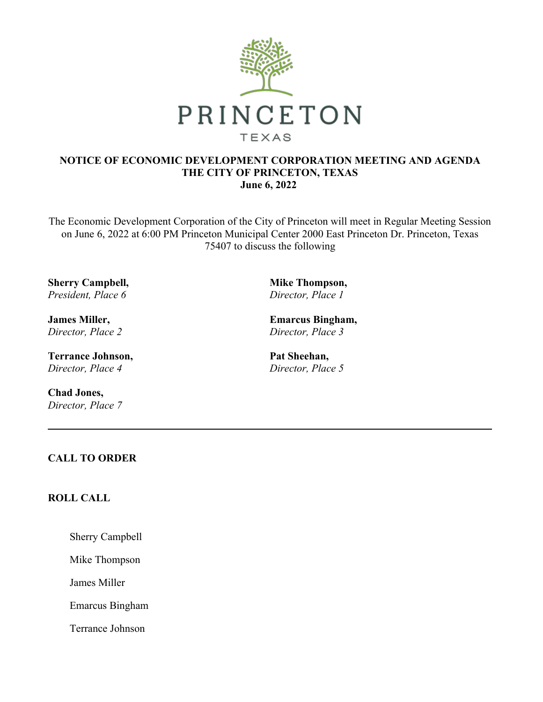

### **NOTICE OF ECONOMIC DEVELOPMENT CORPORATION MEETING AND AGENDA THE CITY OF PRINCETON, TEXAS June 6, 2022**

The Economic Development Corporation of the City of Princeton will meet in Regular Meeting Session on June 6, 2022 at 6:00 PM Princeton Municipal Center 2000 East Princeton Dr. Princeton, Texas 75407 to discuss the following

**Sherry Campbell,**  *President, Place 6*

**James Miller,**  *Director, Place 2*

**Terrance Johnson,**  *Director, Place 4*

**Chad Jones,**  *Director, Place 7* **Mike Thompson,**  *Director, Place 1*

**Emarcus Bingham,**  *Director, Place 3*

**Pat Sheehan,**  *Director, Place 5*

## **CALL TO ORDER**

# **ROLL CALL**

Sherry Campbell

Mike Thompson

James Miller

Emarcus Bingham

Terrance Johnson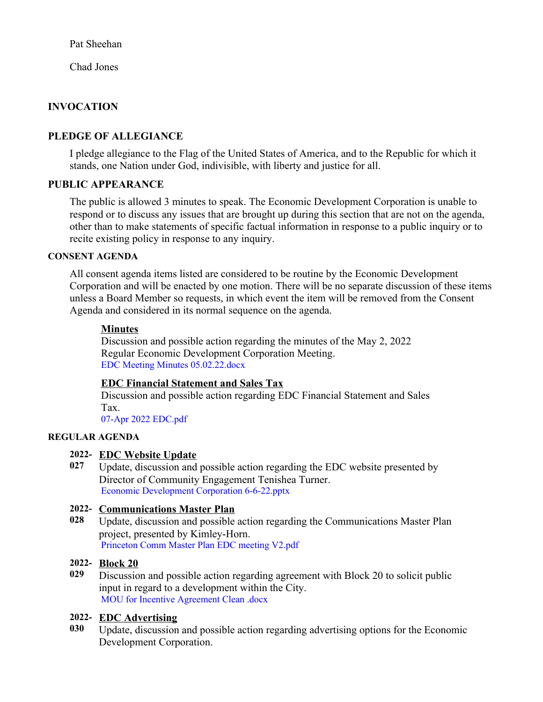Pat Sheehan

Chad Jones

# **INVOCATION**

# **PLEDGE OF ALLEGIANCE**

I pledge allegiance to the Flag of the United States of America, and to the Republic for which it stands, one Nation under God, indivisible, with liberty and justice for all.

## **PUBLIC APPEARANCE**

The public is allowed 3 minutes to speak. The Economic Development Corporation is unable to respond or to discuss any issues that are brought up during this section that are not on the agenda, other than to make statements of specific factual information in response to a public inquiry or to recite existing policy in response to any inquiry.

### **CONSENT AGENDA**

All consent agenda items listed are considered to be routine by the Economic Development Corporation and will be enacted by one motion. There will be no separate discussion of these items unless a Board Member so requests, in which event the item will be removed from the Consent Agenda and considered in its normal sequence on the agenda.

### **Minutes**

Discussion and possible action regarding the minutes of the May 2, 2022 Regular Economic Development Corporation Meeting. [EDC Meeting Minutes 05.02.22.docx](https://legistarweb-production.s3.amazonaws.com/uploads/attachment/pdf/1391889/EDC_Meeting_Minutes_05.02.22.pdf)

## **EDC Financial Statement and Sales Tax**

Discussion and possible action regarding EDC Financial Statement and Sales Tax.

[07-Apr 2022 EDC.pdf](https://legistarweb-production.s3.amazonaws.com/uploads/attachment/pdf/1401767/07-Apr_2022_EDC.pdf)

### **REGULAR AGENDA**

### **2022- EDC Website Update**

**027** Update, discussion and possible action regarding the EDC website presented by Director of Community Engagement Tenishea Turner. [Economic Development Corporation 6-6-22.pptx](https://legistarweb-production.s3.amazonaws.com/uploads/attachment/pdf/1406415/Economic_Development_Corporation_6-6-22.pdf)

## **2022- Communications Master Plan**

**028** Update, discussion and possible action regarding the Communications Master Plan project, presented by Kimley-Horn. [Princeton Comm Master Plan EDC meeting V2.pdf](https://legistarweb-production.s3.amazonaws.com/uploads/attachment/pdf/1407523/Princeton_Comm_Master_Plan_EDC_meeting_V2.pdf)

### **2022- Block 20**

**029** Discussion and possible action regarding agreement with Block 20 to solicit public input in regard to a development within the City. [MOU for Incentive Agreement Clean .docx](https://legistarweb-production.s3.amazonaws.com/uploads/attachment/pdf/1409096/MOU_for_Incentive_Agreement_Clean_.pdf)

## **2022- EDC Advertising**

**030** Update, discussion and possible action regarding advertising options for the Economic Development Corporation.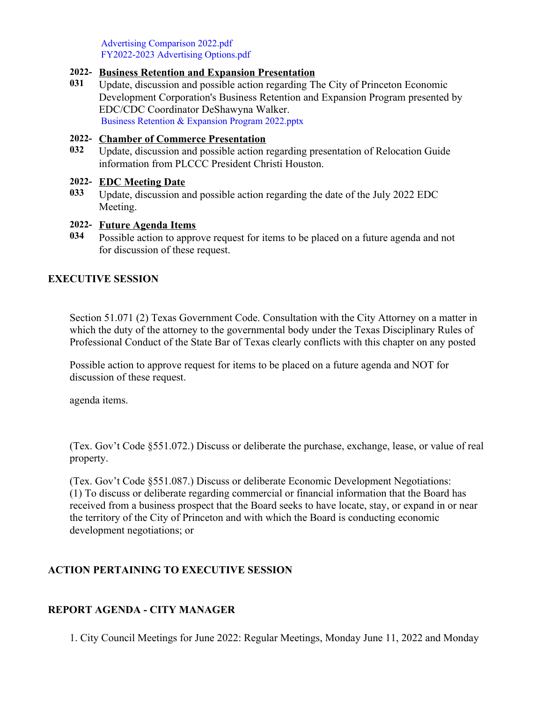[Advertising Comparison 2022.pdf](https://legistarweb-production.s3.amazonaws.com/uploads/attachment/pdf/1401071/Advertising_Comparison_2022.pdf) [FY2022-2023 Advertising Options.pdf](https://legistarweb-production.s3.amazonaws.com/uploads/attachment/pdf/1401074/FY2022-2023_Advertising_Options.pdf)

### **2022- Business Retention and Expansion Presentation**

**031** Update, discussion and possible action regarding The City of Princeton Economic Development Corporation's Business Retention and Expansion Program presented by EDC/CDC Coordinator DeShawyna Walker. [Business Retention & Expansion Program 2022.pptx](https://legistarweb-production.s3.amazonaws.com/uploads/attachment/pdf/1408902/Business_Retention___Expansion_Program_2022.pdf)

#### **2022- Chamber of Commerce Presentation**

**032** Update, discussion and possible action regarding presentation of Relocation Guide information from PLCCC President Christi Houston.

### **2022- EDC Meeting Date**

**033** Update, discussion and possible action regarding the date of the July 2022 EDC Meeting.

### **2022- Future Agenda Items**

**034** Possible action to approve request for items to be placed on a future agenda and not for discussion of these request.

### **EXECUTIVE SESSION**

Section 51.071 (2) Texas Government Code. Consultation with the City Attorney on a matter in which the duty of the attorney to the governmental body under the Texas Disciplinary Rules of Professional Conduct of the State Bar of Texas clearly conflicts with this chapter on any posted

Possible action to approve request for items to be placed on a future agenda and NOT for discussion of these request.

agenda items.

(Tex. Gov't Code §551.072.) Discuss or deliberate the purchase, exchange, lease, or value of real property.

(Tex. Gov't Code §551.087.) Discuss or deliberate Economic Development Negotiations: (1) To discuss or deliberate regarding commercial or financial information that the Board has received from a business prospect that the Board seeks to have locate, stay, or expand in or near the territory of the City of Princeton and with which the Board is conducting economic development negotiations; or

## **ACTION PERTAINING TO EXECUTIVE SESSION**

## **REPORT AGENDA - CITY MANAGER**

1. City Council Meetings for June 2022: Regular Meetings, Monday June 11, 2022 and Monday